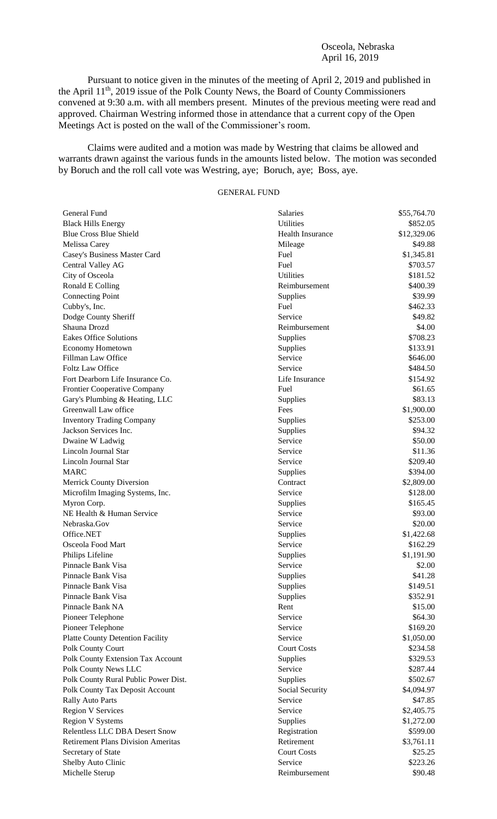#### Osceola, Nebraska April 16, 2019

Pursuant to notice given in the minutes of the meeting of April 2, 2019 and published in the April 11<sup>th</sup>, 2019 issue of the Polk County News, the Board of County Commissioners convened at 9:30 a.m. with all members present. Minutes of the previous meeting were read and approved. Chairman Westring informed those in attendance that a current copy of the Open Meetings Act is posted on the wall of the Commissioner's room.

Claims were audited and a motion was made by Westring that claims be allowed and warrants drawn against the various funds in the amounts listed below. The motion was seconded by Boruch and the roll call vote was Westring, aye; Boruch, aye; Boss, aye.

# GENERAL FUND

| General Fund                                               | Salaries                | \$55,764.70 |
|------------------------------------------------------------|-------------------------|-------------|
| <b>Black Hills Energy</b>                                  | <b>Utilities</b>        | \$852.05    |
| <b>Blue Cross Blue Shield</b>                              | <b>Health Insurance</b> | \$12,329.06 |
| Melissa Carey                                              | Mileage                 | \$49.88     |
| Casey's Business Master Card                               | Fuel                    | \$1,345.81  |
| Central Valley AG                                          | Fuel                    | \$703.57    |
| City of Osceola                                            | Utilities               | \$181.52    |
| Ronald E Colling                                           | Reimbursement           | \$400.39    |
| <b>Connecting Point</b>                                    | Supplies                | \$39.99     |
| Cubby's, Inc.                                              | Fuel                    | \$462.33    |
| Dodge County Sheriff                                       | Service                 | \$49.82     |
| Shauna Drozd                                               | Reimbursement           | \$4.00      |
| <b>Eakes Office Solutions</b>                              | Supplies                | \$708.23    |
| Economy Hometown                                           | Supplies                | \$133.91    |
| Fillman Law Office                                         | Service                 | \$646.00    |
| <b>Foltz Law Office</b>                                    | Service                 | \$484.50    |
| Fort Dearborn Life Insurance Co.                           | Life Insurance          | \$154.92    |
| <b>Frontier Cooperative Company</b>                        | Fuel                    | \$61.65     |
| Gary's Plumbing & Heating, LLC                             | Supplies                | \$83.13     |
| Greenwall Law office                                       | Fees                    | \$1,900.00  |
| <b>Inventory Trading Company</b>                           | Supplies                | \$253.00    |
| Jackson Services Inc.                                      | Supplies                | \$94.32     |
| Dwaine W Ladwig                                            | Service                 | \$50.00     |
| Lincoln Journal Star                                       | Service                 | \$11.36     |
| Lincoln Journal Star                                       | Service                 | \$209.40    |
| <b>MARC</b>                                                | Supplies                | \$394.00    |
| Merrick County Diversion                                   | Contract                | \$2,809.00  |
| Microfilm Imaging Systems, Inc.                            | Service                 | \$128.00    |
| Myron Corp.                                                | Supplies                | \$165.45    |
| NE Health & Human Service                                  | Service                 | \$93.00     |
| Nebraska.Gov                                               | Service                 | \$20.00     |
| Office.NET                                                 | Supplies                | \$1,422.68  |
| Osceola Food Mart                                          | Service                 | \$162.29    |
| Philips Lifeline                                           | Supplies                | \$1,191.90  |
| Pinnacle Bank Visa                                         | Service                 | \$2.00      |
| Pinnacle Bank Visa                                         | Supplies                | \$41.28     |
| Pinnacle Bank Visa                                         | Supplies                | \$149.51    |
| Pinnacle Bank Visa                                         | Supplies                | \$352.91    |
| Pinnacle Bank NA                                           | Rent                    | \$15.00     |
| Pioneer Telephone                                          | Service                 | \$64.30     |
| Pioneer Telephone                                          | Service                 | \$169.20    |
| <b>Platte County Detention Facility</b>                    | Service                 | \$1,050.00  |
| Polk County Court                                          | <b>Court Costs</b>      | \$234.58    |
| Polk County Extension Tax Account                          | Supplies                | \$329.53    |
| Polk County News LLC                                       | Service                 | \$287.44    |
| Polk County Rural Public Power Dist.                       | Supplies                | \$502.67    |
|                                                            | Social Security         | \$4,094.97  |
| Polk County Tax Deposit Account<br><b>Rally Auto Parts</b> | Service                 | \$47.85     |
|                                                            | Service                 |             |
| <b>Region V Services</b>                                   |                         | \$2,405.75  |
| <b>Region V Systems</b>                                    | Supplies                | \$1,272.00  |
| Relentless LLC DBA Desert Snow                             | Registration            | \$599.00    |
| <b>Retirement Plans Division Ameritas</b>                  | Retirement              | \$3,761.11  |
| Secretary of State                                         | <b>Court Costs</b>      | \$25.25     |
| Shelby Auto Clinic                                         | Service                 | \$223.26    |
| Michelle Sterup                                            | Reimbursement           | \$90.48     |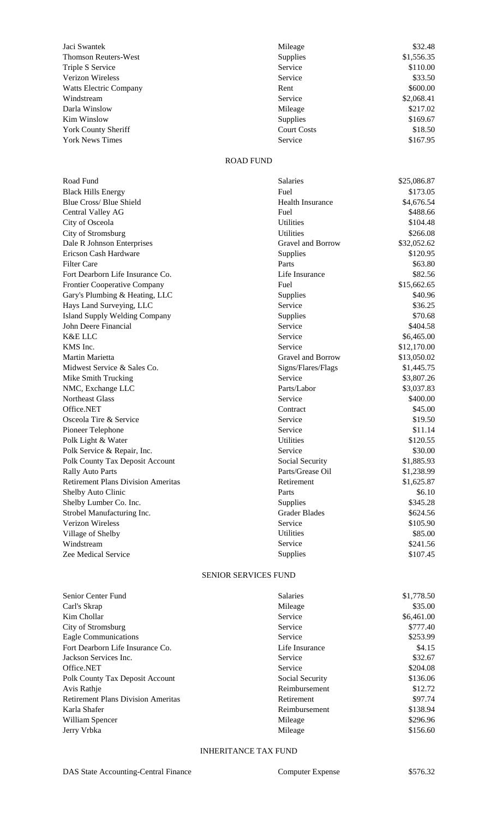| Jaci Swantek                  | Mileage            | \$32.48    |
|-------------------------------|--------------------|------------|
| <b>Thomson Reuters-West</b>   | Supplies           | \$1,556.35 |
| Triple S Service              | Service            | \$110.00   |
| <b>Verizon Wireless</b>       | Service            | \$33.50    |
| <b>Watts Electric Company</b> | Rent               | \$600.00   |
| Windstream                    | Service            | \$2,068.41 |
| Darla Winslow                 | Mileage            | \$217.02   |
| Kim Winslow                   | <b>Supplies</b>    | \$169.67   |
| <b>York County Sheriff</b>    | <b>Court Costs</b> | \$18.50    |
| <b>York News Times</b>        | Service            | \$167.95   |

## ROAD FUND

| Road Fund                                 | Salaries                | \$25,086.87 |
|-------------------------------------------|-------------------------|-------------|
| <b>Black Hills Energy</b>                 | Fuel                    | \$173.05    |
| Blue Cross/ Blue Shield                   | <b>Health Insurance</b> | \$4,676.54  |
| Central Valley AG                         | Fuel                    | \$488.66    |
| City of Osceola                           | <b>Utilities</b>        | \$104.48    |
| City of Stromsburg                        | <b>Utilities</b>        | \$266.08    |
| Dale R Johnson Enterprises                | Gravel and Borrow       | \$32,052.62 |
| Ericson Cash Hardware                     | Supplies                | \$120.95    |
| <b>Filter Care</b>                        | Parts                   | \$63.80     |
| Fort Dearborn Life Insurance Co.          | Life Insurance          | \$82.56     |
| Frontier Cooperative Company              | Fuel                    | \$15,662.65 |
| Gary's Plumbing & Heating, LLC            | Supplies                | \$40.96     |
| Hays Land Surveying, LLC                  | Service                 | \$36.25     |
| <b>Island Supply Welding Company</b>      | Supplies                | \$70.68     |
| John Deere Financial                      | Service                 | \$404.58    |
| <b>K&amp;E LLC</b>                        | Service                 | \$6,465.00  |
| KMS Inc.                                  | Service                 | \$12,170.00 |
| Martin Marietta                           | Gravel and Borrow       | \$13,050.02 |
| Midwest Service & Sales Co.               | Signs/Flares/Flags      | \$1,445.75  |
| Mike Smith Trucking                       | Service                 | \$3,807.26  |
| NMC, Exchange LLC                         | Parts/Labor             | \$3,037.83  |
| Northeast Glass                           | Service                 | \$400.00    |
| Office.NET                                | Contract                | \$45.00     |
| Osceola Tire & Service                    | Service                 | \$19.50     |
| Pioneer Telephone                         | Service                 | \$11.14     |
| Polk Light & Water                        | <b>Utilities</b>        | \$120.55    |
| Polk Service & Repair, Inc.               | Service                 | \$30.00     |
| Polk County Tax Deposit Account           | Social Security         | \$1,885.93  |
| <b>Rally Auto Parts</b>                   | Parts/Grease Oil        | \$1,238.99  |
| <b>Retirement Plans Division Ameritas</b> | Retirement              | \$1,625.87  |
| Shelby Auto Clinic                        | Parts                   | \$6.10      |
| Shelby Lumber Co. Inc.                    | Supplies                | \$345.28    |
| Strobel Manufacturing Inc.                | <b>Grader Blades</b>    | \$624.56    |
| <b>Verizon Wireless</b>                   | Service                 | \$105.90    |
| Village of Shelby                         | Utilities               | \$85.00     |
| Windstream                                | Service                 | \$241.56    |
| Zee Medical Service                       | Supplies                | \$107.45    |

## SENIOR SERVICES FUND

| Senior Center Fund                        | <b>Salaries</b> | \$1,778.50 |
|-------------------------------------------|-----------------|------------|
| Carl's Skrap                              | Mileage         | \$35.00    |
| Kim Chollar                               | Service         | \$6,461.00 |
| City of Stromsburg                        | Service         | \$777.40   |
| <b>Eagle Communications</b>               | Service         | \$253.99   |
| Fort Dearborn Life Insurance Co.          | Life Insurance  | \$4.15     |
| Jackson Services Inc.                     | Service         | \$32.67    |
| Office.NET                                | Service         | \$204.08   |
| Polk County Tax Deposit Account           | Social Security | \$136.06   |
| Avis Rathje                               | Reimbursement   | \$12.72    |
| <b>Retirement Plans Division Ameritas</b> | Retirement      | \$97.74    |
| Karla Shafer                              | Reimbursement   | \$138.94   |
| William Spencer                           | Mileage         | \$296.96   |
| Jerry Vrbka                               | Mileage         | \$156.60   |

### INHERITANCE TAX FUND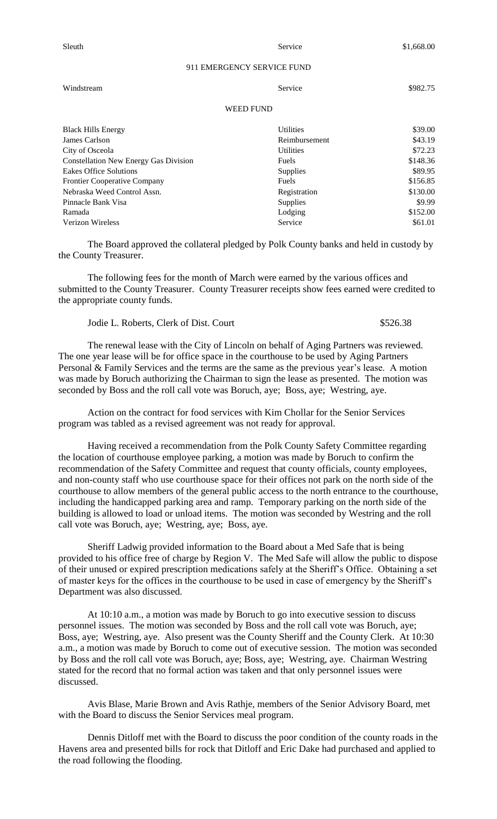Sleuth Service  $\frac{1}{51,668.00}$ 

#### 911 EMERGENCY SERVICE FUND

| Windstream                                   | Service          | \$982.75 |
|----------------------------------------------|------------------|----------|
| <b>WEED FUND</b>                             |                  |          |
| <b>Black Hills Energy</b>                    | <b>Utilities</b> | \$39.00  |
| James Carlson                                | Reimbursement    | \$43.19  |
| City of Osceola                              | <b>Utilities</b> | \$72.23  |
| <b>Constellation New Energy Gas Division</b> | <b>Fuels</b>     | \$148.36 |
| <b>Eakes Office Solutions</b>                | <b>Supplies</b>  | \$89.95  |
| <b>Frontier Cooperative Company</b>          | <b>Fuels</b>     | \$156.85 |
| Nebraska Weed Control Assn.                  | Registration     | \$130.00 |
| Pinnacle Bank Visa                           | <b>Supplies</b>  | \$9.99   |
| Ramada                                       | Lodging          | \$152.00 |
| <b>Verizon Wireless</b>                      | Service          | \$61.01  |

The Board approved the collateral pledged by Polk County banks and held in custody by the County Treasurer.

The following fees for the month of March were earned by the various offices and submitted to the County Treasurer. County Treasurer receipts show fees earned were credited to the appropriate county funds.

Jodie L. Roberts, Clerk of Dist. Court \$526.38

The renewal lease with the City of Lincoln on behalf of Aging Partners was reviewed. The one year lease will be for office space in the courthouse to be used by Aging Partners Personal & Family Services and the terms are the same as the previous year's lease. A motion was made by Boruch authorizing the Chairman to sign the lease as presented. The motion was seconded by Boss and the roll call vote was Boruch, aye; Boss, aye; Westring, aye.

Action on the contract for food services with Kim Chollar for the Senior Services program was tabled as a revised agreement was not ready for approval.

Having received a recommendation from the Polk County Safety Committee regarding the location of courthouse employee parking, a motion was made by Boruch to confirm the recommendation of the Safety Committee and request that county officials, county employees, and non-county staff who use courthouse space for their offices not park on the north side of the courthouse to allow members of the general public access to the north entrance to the courthouse, including the handicapped parking area and ramp. Temporary parking on the north side of the building is allowed to load or unload items. The motion was seconded by Westring and the roll call vote was Boruch, aye; Westring, aye; Boss, aye.

Sheriff Ladwig provided information to the Board about a Med Safe that is being provided to his office free of charge by Region V. The Med Safe will allow the public to dispose of their unused or expired prescription medications safely at the Sheriff's Office. Obtaining a set of master keys for the offices in the courthouse to be used in case of emergency by the Sheriff's Department was also discussed.

At 10:10 a.m., a motion was made by Boruch to go into executive session to discuss personnel issues. The motion was seconded by Boss and the roll call vote was Boruch, aye; Boss, aye; Westring, aye. Also present was the County Sheriff and the County Clerk. At 10:30 a.m., a motion was made by Boruch to come out of executive session. The motion was seconded by Boss and the roll call vote was Boruch, aye; Boss, aye; Westring, aye. Chairman Westring stated for the record that no formal action was taken and that only personnel issues were discussed.

Avis Blase, Marie Brown and Avis Rathje, members of the Senior Advisory Board, met with the Board to discuss the Senior Services meal program.

Dennis Ditloff met with the Board to discuss the poor condition of the county roads in the Havens area and presented bills for rock that Ditloff and Eric Dake had purchased and applied to the road following the flooding.